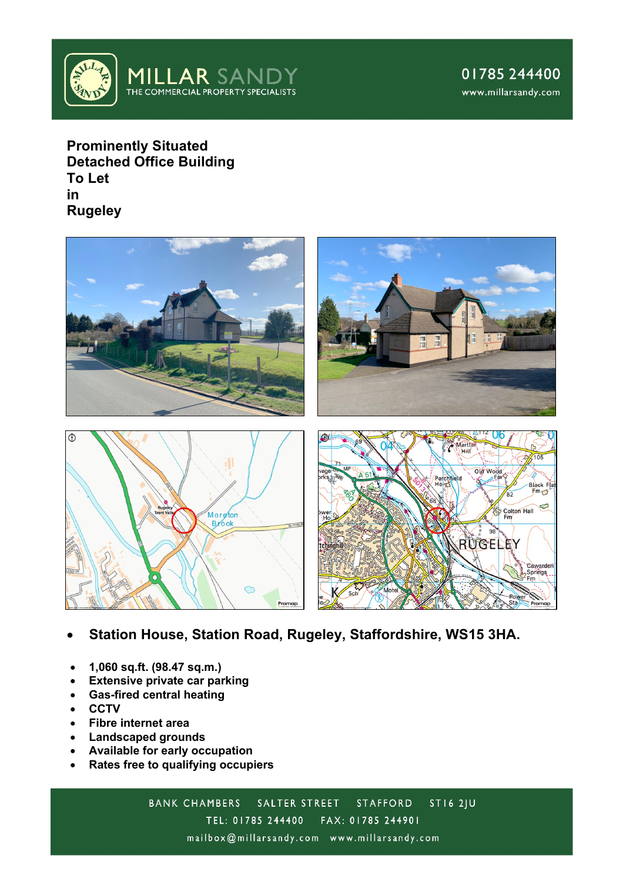

**Prominently Situated Detached Office Building To Let in Rugeley**



- **Station House, Station Road, Rugeley, Staffordshire, WS15 3HA.**
- **1,060 sq.ft. (98.47 sq.m.)**
- **Extensive private car parking**
- **Gas-fired central heating**
- **CCTV**
- **Fibre internet area**
- **Landscaped grounds**
- **Available for early occupation**
- **Rates free to qualifying occupiers**

**BANK CHAMBERS** SALTER STREET **ST16 2JU STAFFORD** TEL: 01785 244400 FAX: 01785 244901 mailbox@millarsandy.com www.millarsandy.com